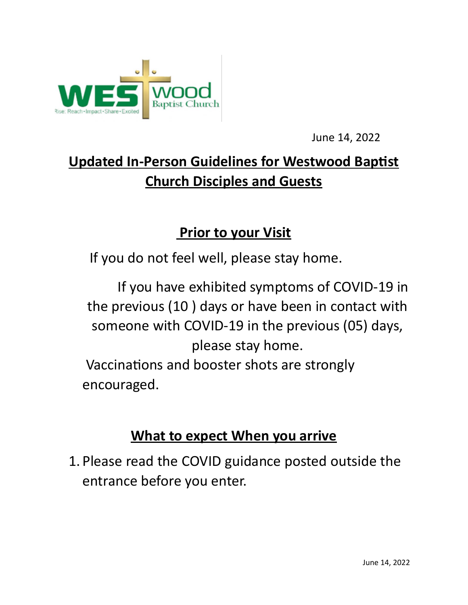

June 14, 2022

## **Updated In-Person Guidelines for Westwood Baptist Church Disciples and Guests**

## **Prior to your Visit**

If you do not feel well, please stay home.

 If you have exhibited symptoms of COVID-19 in the previous (10 ) days or have been in contact with someone with COVID-19 in the previous (05) days, please stay home. Vaccinations and booster shots are strongly encouraged.

## **What to expect When you arrive**

1. Please read the COVID guidance posted outside the entrance before you enter.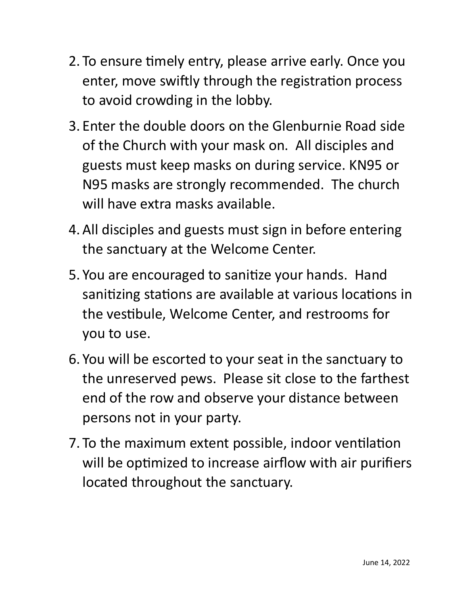- 2. To ensure timely entry, please arrive early. Once you enter, move swiftly through the registration process to avoid crowding in the lobby.
- 3. Enter the double doors on the Glenburnie Road side of the Church with your mask on. All disciples and guests must keep masks on during service. KN95 or N95 masks are strongly recommended. The church will have extra masks available.
- 4.All disciples and guests must sign in before entering the sanctuary at the Welcome Center.
- 5. You are encouraged to sanitize your hands. Hand sanitizing stations are available at various locations in the vestibule, Welcome Center, and restrooms for you to use.
- 6. You will be escorted to your seat in the sanctuary to the unreserved pews. Please sit close to the farthest end of the row and observe your distance between persons not in your party.
- 7. To the maximum extent possible, indoor ventilation will be optimized to increase airflow with air purifiers located throughout the sanctuary.